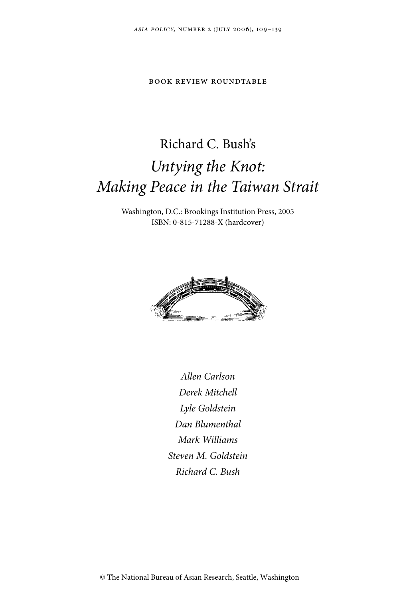book review roundtable

# Richard C. Bush's *Untying the Knot: Making Peace in the Taiwan Strait*

Washington, D.C.: Brookings Institution Press, 2005 ISBN: 0-815-71288-X (hardcover)



*Allen Carlson Derek Mitchell Lyle Goldstein Dan Blumenthal Mark Williams Steven M. Goldstein Richard C. Bush*

© The National Bureau of Asian Research, Seattle, Washington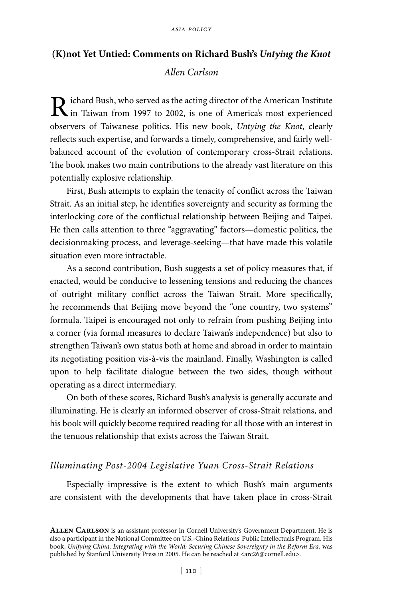## **(K)not Yet Untied: Comments on Richard Bush's** *Untying the Knot*

# *Allen Carlson*

Richard Bush, who served as the acting director of the American Institute<br>in Taiwan from 1997 to 2002, is one of America's most experienced observers of Taiwanese politics. His new book, *Untying the Knot*, clearly reflects such expertise, and forwards a timely, comprehensive, and fairly wellbalanced account of the evolution of contemporary cross-Strait relations. The book makes two main contributions to the already vast literature on this potentially explosive relationship.

First, Bush attempts to explain the tenacity of conflict across the Taiwan Strait. As an initial step, he identifies sovereignty and security as forming the interlocking core of the conflictual relationship between Beijing and Taipei. He then calls attention to three "aggravating" factors—domestic politics, the decisionmaking process, and leverage-seeking—that have made this volatile situation even more intractable.

As a second contribution, Bush suggests a set of policy measures that, if enacted, would be conducive to lessening tensions and reducing the chances of outright military conflict across the Taiwan Strait. More specifically, he recommends that Beijing move beyond the "one country, two systems" formula. Taipei is encouraged not only to refrain from pushing Beijing into a corner (via formal measures to declare Taiwan's independence) but also to strengthen Taiwan's own status both at home and abroad in order to maintain its negotiating position vis-à-vis the mainland. Finally, Washington is called upon to help facilitate dialogue between the two sides, though without operating as a direct intermediary.

On both of these scores, Richard Bush's analysis is generally accurate and illuminating. He is clearly an informed observer of cross-Strait relations, and his book will quickly become required reading for all those with an interest in the tenuous relationship that exists across the Taiwan Strait.

## *Illuminating Post-2004 Legislative Yuan Cross-Strait Relations*

Especially impressive is the extent to which Bush's main arguments are consistent with the developments that have taken place in cross-Strait

**Allen Carlson** is an assistant professor in Cornell University's Government Department. He is also a participant in the National Committee on U.S.-China Relations' Public Intellectuals Program. His book, *Unifying China, Integrating with the World: Securing Chinese Sovereignty in the Reform Era*, was published by Stanford University Press in 2005. He can be reached at <arc26@cornell.edu>.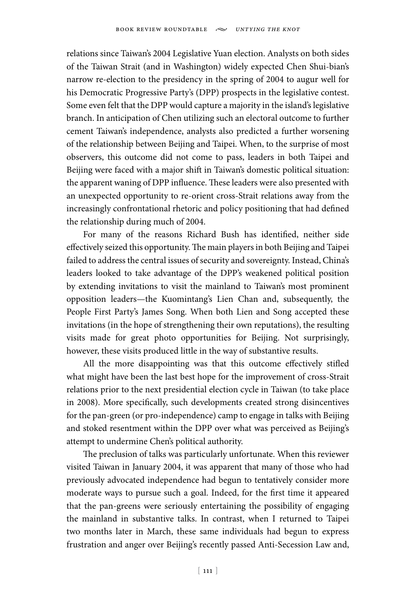relations since Taiwan's 2004 Legislative Yuan election. Analysts on both sides of the Taiwan Strait (and in Washington) widely expected Chen Shui-bian's narrow re-election to the presidency in the spring of 2004 to augur well for his Democratic Progressive Party's (DPP) prospects in the legislative contest. Some even felt that the DPP would capture a majority in the island's legislative branch. In anticipation of Chen utilizing such an electoral outcome to further cement Taiwan's independence, analysts also predicted a further worsening of the relationship between Beijing and Taipei. When, to the surprise of most observers, this outcome did not come to pass, leaders in both Taipei and Beijing were faced with a major shift in Taiwan's domestic political situation: the apparent waning of DPP influence. These leaders were also presented with an unexpected opportunity to re-orient cross-Strait relations away from the increasingly confrontational rhetoric and policy positioning that had defined the relationship during much of 2004.

For many of the reasons Richard Bush has identified, neither side effectively seized this opportunity. The main players in both Beijing and Taipei failed to address the central issues of security and sovereignty. Instead, China's leaders looked to take advantage of the DPP's weakened political position by extending invitations to visit the mainland to Taiwan's most prominent opposition leaders—the Kuomintang's Lien Chan and, subsequently, the People First Party's James Song. When both Lien and Song accepted these invitations (in the hope of strengthening their own reputations), the resulting visits made for great photo opportunities for Beijing. Not surprisingly, however, these visits produced little in the way of substantive results.

All the more disappointing was that this outcome effectively stifled what might have been the last best hope for the improvement of cross-Strait relations prior to the next presidential election cycle in Taiwan (to take place in 2008). More specifically, such developments created strong disincentives for the pan-green (or pro-independence) camp to engage in talks with Beijing and stoked resentment within the DPP over what was perceived as Beijing's attempt to undermine Chen's political authority.

The preclusion of talks was particularly unfortunate. When this reviewer visited Taiwan in January 2004, it was apparent that many of those who had previously advocated independence had begun to tentatively consider more moderate ways to pursue such a goal. Indeed, for the first time it appeared that the pan-greens were seriously entertaining the possibility of engaging the mainland in substantive talks. In contrast, when I returned to Taipei two months later in March, these same individuals had begun to express frustration and anger over Beijing's recently passed Anti-Secession Law and,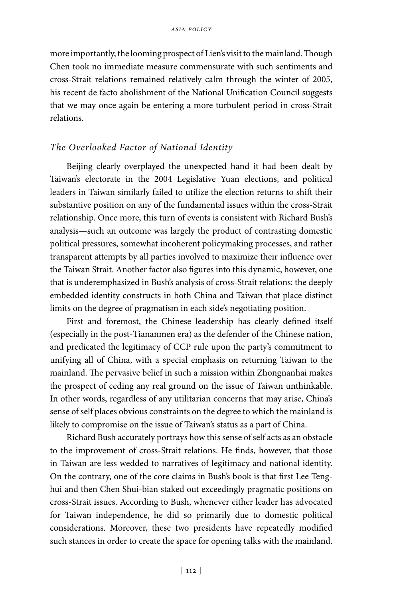more importantly, the looming prospect of Lien's visit to the mainland. Though Chen took no immediate measure commensurate with such sentiments and cross-Strait relations remained relatively calm through the winter of 2005, his recent de facto abolishment of the National Unification Council suggests that we may once again be entering a more turbulent period in cross-Strait relations.

### *The Overlooked Factor of National Identity*

Beijing clearly overplayed the unexpected hand it had been dealt by Taiwan's electorate in the 2004 Legislative Yuan elections, and political leaders in Taiwan similarly failed to utilize the election returns to shift their substantive position on any of the fundamental issues within the cross-Strait relationship. Once more, this turn of events is consistent with Richard Bush's analysis—such an outcome was largely the product of contrasting domestic political pressures, somewhat incoherent policymaking processes, and rather transparent attempts by all parties involved to maximize their influence over the Taiwan Strait. Another factor also figures into this dynamic, however, one that is underemphasized in Bush's analysis of cross-Strait relations: the deeply embedded identity constructs in both China and Taiwan that place distinct limits on the degree of pragmatism in each side's negotiating position.

First and foremost, the Chinese leadership has clearly defined itself (especially in the post-Tiananmen era) as the defender of the Chinese nation, and predicated the legitimacy of CCP rule upon the party's commitment to unifying all of China, with a special emphasis on returning Taiwan to the mainland. The pervasive belief in such a mission within Zhongnanhai makes the prospect of ceding any real ground on the issue of Taiwan unthinkable. In other words, regardless of any utilitarian concerns that may arise, China's sense of self places obvious constraints on the degree to which the mainland is likely to compromise on the issue of Taiwan's status as a part of China.

Richard Bush accurately portrays how this sense of self acts as an obstacle to the improvement of cross-Strait relations. He finds, however, that those in Taiwan are less wedded to narratives of legitimacy and national identity. On the contrary, one of the core claims in Bush's book is that first Lee Tenghui and then Chen Shui-bian staked out exceedingly pragmatic positions on cross-Strait issues. According to Bush, whenever either leader has advocated for Taiwan independence, he did so primarily due to domestic political considerations. Moreover, these two presidents have repeatedly modified such stances in order to create the space for opening talks with the mainland.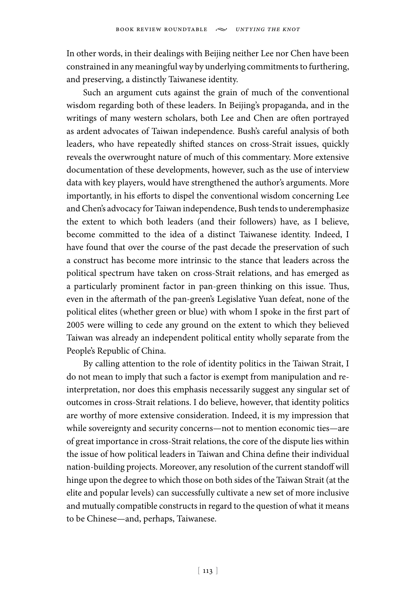In other words, in their dealings with Beijing neither Lee nor Chen have been constrained in any meaningful way by underlying commitments to furthering, and preserving, a distinctly Taiwanese identity.

Such an argument cuts against the grain of much of the conventional wisdom regarding both of these leaders. In Beijing's propaganda, and in the writings of many western scholars, both Lee and Chen are often portrayed as ardent advocates of Taiwan independence. Bush's careful analysis of both leaders, who have repeatedly shifted stances on cross-Strait issues, quickly reveals the overwrought nature of much of this commentary. More extensive documentation of these developments, however, such as the use of interview data with key players, would have strengthened the author's arguments. More importantly, in his efforts to dispel the conventional wisdom concerning Lee and Chen's advocacy for Taiwan independence, Bush tends to underemphasize the extent to which both leaders (and their followers) have, as I believe, become committed to the idea of a distinct Taiwanese identity. Indeed, I have found that over the course of the past decade the preservation of such a construct has become more intrinsic to the stance that leaders across the political spectrum have taken on cross-Strait relations, and has emerged as a particularly prominent factor in pan-green thinking on this issue. Thus, even in the aftermath of the pan-green's Legislative Yuan defeat, none of the political elites (whether green or blue) with whom I spoke in the first part of 2005 were willing to cede any ground on the extent to which they believed Taiwan was already an independent political entity wholly separate from the People's Republic of China.

By calling attention to the role of identity politics in the Taiwan Strait, I do not mean to imply that such a factor is exempt from manipulation and reinterpretation, nor does this emphasis necessarily suggest any singular set of outcomes in cross-Strait relations. I do believe, however, that identity politics are worthy of more extensive consideration. Indeed, it is my impression that while sovereignty and security concerns—not to mention economic ties—are of great importance in cross-Strait relations, the core of the dispute lies within the issue of how political leaders in Taiwan and China define their individual nation-building projects. Moreover, any resolution of the current standoff will hinge upon the degree to which those on both sides of the Taiwan Strait (at the elite and popular levels) can successfully cultivate a new set of more inclusive and mutually compatible constructs in regard to the question of what it means to be Chinese—and, perhaps, Taiwanese.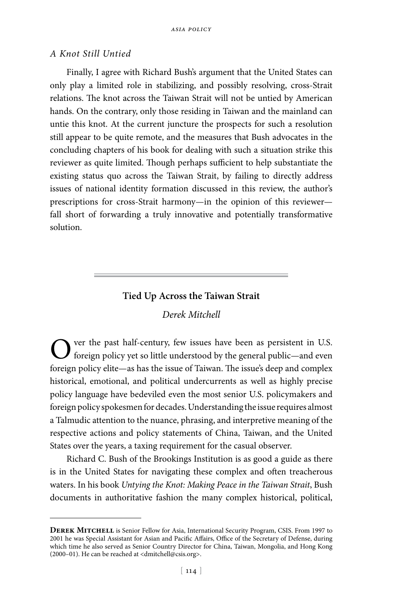### *A Knot Still Untied*

Finally, I agree with Richard Bush's argument that the United States can only play a limited role in stabilizing, and possibly resolving, cross-Strait relations. The knot across the Taiwan Strait will not be untied by American hands. On the contrary, only those residing in Taiwan and the mainland can untie this knot. At the current juncture the prospects for such a resolution still appear to be quite remote, and the measures that Bush advocates in the concluding chapters of his book for dealing with such a situation strike this reviewer as quite limited. Though perhaps sufficient to help substantiate the existing status quo across the Taiwan Strait, by failing to directly address issues of national identity formation discussed in this review, the author's prescriptions for cross-Strait harmony—in the opinion of this reviewer fall short of forwarding a truly innovative and potentially transformative solution.

# **Tied Up Across the Taiwan Strait**

## *Derek Mitchell*

Over the past half-century, few issues have been as persistent in U.S.<br>
foreign policy yet so little understood by the general public—and even<br>  $\sum_{n=1}^{\infty}$ foreign policy elite—as has the issue of Taiwan. The issue's deep and complex historical, emotional, and political undercurrents as well as highly precise policy language have bedeviled even the most senior U.S. policymakers and foreign policy spokesmen for decades. Understanding the issue requires almost a Talmudic attention to the nuance, phrasing, and interpretive meaning of the respective actions and policy statements of China, Taiwan, and the United States over the years, a taxing requirement for the casual observer.

Richard C. Bush of the Brookings Institution is as good a guide as there is in the United States for navigating these complex and often treacherous waters. In his book *Untying the Knot: Making Peace in the Taiwan Strait*, Bush documents in authoritative fashion the many complex historical, political,

**Derek Mitchell** is Senior Fellow for Asia, International Security Program, CSIS. From 1997 to 2001 he was Special Assistant for Asian and Pacific Affairs, Office of the Secretary of Defense, during which time he also served as Senior Country Director for China, Taiwan, Mongolia, and Hong Kong (2000–01). He can be reached at <dmitchell@csis.org>.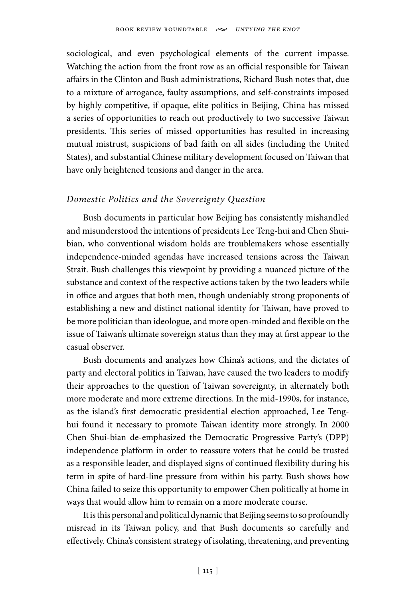sociological, and even psychological elements of the current impasse. Watching the action from the front row as an official responsible for Taiwan affairs in the Clinton and Bush administrations, Richard Bush notes that, due to a mixture of arrogance, faulty assumptions, and self-constraints imposed by highly competitive, if opaque, elite politics in Beijing, China has missed a series of opportunities to reach out productively to two successive Taiwan presidents. This series of missed opportunities has resulted in increasing mutual mistrust, suspicions of bad faith on all sides (including the United States), and substantial Chinese military development focused on Taiwan that have only heightened tensions and danger in the area.

#### *Domestic Politics and the Sovereignty Question*

Bush documents in particular how Beijing has consistently mishandled and misunderstood the intentions of presidents Lee Teng-hui and Chen Shuibian, who conventional wisdom holds are troublemakers whose essentially independence-minded agendas have increased tensions across the Taiwan Strait. Bush challenges this viewpoint by providing a nuanced picture of the substance and context of the respective actions taken by the two leaders while in office and argues that both men, though undeniably strong proponents of establishing a new and distinct national identity for Taiwan, have proved to be more politician than ideologue, and more open-minded and flexible on the issue of Taiwan's ultimate sovereign status than they may at first appear to the casual observer.

Bush documents and analyzes how China's actions, and the dictates of party and electoral politics in Taiwan, have caused the two leaders to modify their approaches to the question of Taiwan sovereignty, in alternately both more moderate and more extreme directions. In the mid-1990s, for instance, as the island's first democratic presidential election approached, Lee Tenghui found it necessary to promote Taiwan identity more strongly. In 2000 Chen Shui-bian de-emphasized the Democratic Progressive Party's (DPP) independence platform in order to reassure voters that he could be trusted as a responsible leader, and displayed signs of continued flexibility during his term in spite of hard-line pressure from within his party. Bush shows how China failed to seize this opportunity to empower Chen politically at home in ways that would allow him to remain on a more moderate course.

It is this personal and political dynamic that Beijing seems to so profoundly misread in its Taiwan policy, and that Bush documents so carefully and effectively. China's consistent strategy of isolating, threatening, and preventing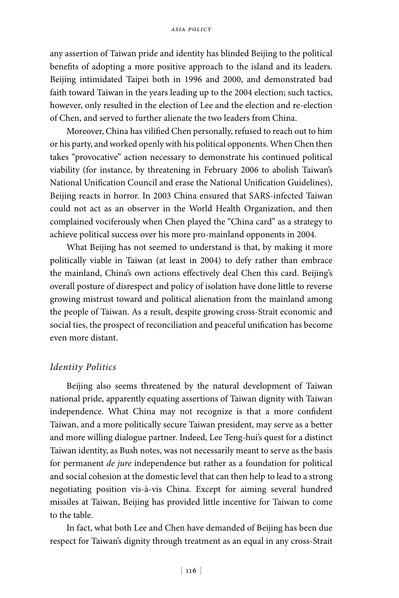any assertion of Taiwan pride and identity has blinded Beijing to the political benefits of adopting a more positive approach to the island and its leaders. Beijing intimidated Taipei both in 1996 and 2000, and demonstrated bad faith toward Taiwan in the years leading up to the 2004 election; such tactics, however, only resulted in the election of Lee and the election and re-election of Chen, and served to further alienate the two leaders from China.

Moreover, China has vilified Chen personally, refused to reach out to him or his party, and worked openly with his political opponents. When Chen then takes "provocative" action necessary to demonstrate his continued political viability (for instance, by threatening in February 2006 to abolish Taiwan's National Unification Council and erase the National Unification Guidelines), Beijing reacts in horror. In 2003 China ensured that SARS-infected Taiwan could not act as an observer in the World Health Organization, and then complained vociferously when Chen played the "China card" as a strategy to achieve political success over his more pro-mainland opponents in 2004.

What Beijing has not seemed to understand is that, by making it more politically viable in Taiwan (at least in 2004) to defy rather than embrace the mainland, China's own actions effectively deal Chen this card. Beijing's overall posture of disrespect and policy of isolation have done little to reverse growing mistrust toward and political alienation from the mainland among the people of Taiwan. As a result, despite growing cross-Strait economic and social ties, the prospect of reconciliation and peaceful unification has become even more distant.

#### *Identity Politics*

Beijing also seems threatened by the natural development of Taiwan national pride, apparently equating assertions of Taiwan dignity with Taiwan independence. What China may not recognize is that a more confident Taiwan, and a more politically secure Taiwan president, may serve as a better and more willing dialogue partner. Indeed, Lee Teng-hui's quest for a distinct Taiwan identity, as Bush notes, was not necessarily meant to serve as the basis for permanent *de jure* independence but rather as a foundation for political and social cohesion at the domestic level that can then help to lead to a strong negotiating position vis-à-vis China. Except for aiming several hundred missiles at Taiwan, Beijing has provided little incentive for Taiwan to come to the table.

In fact, what both Lee and Chen have demanded of Beijing has been due respect for Taiwan's dignity through treatment as an equal in any cross-Strait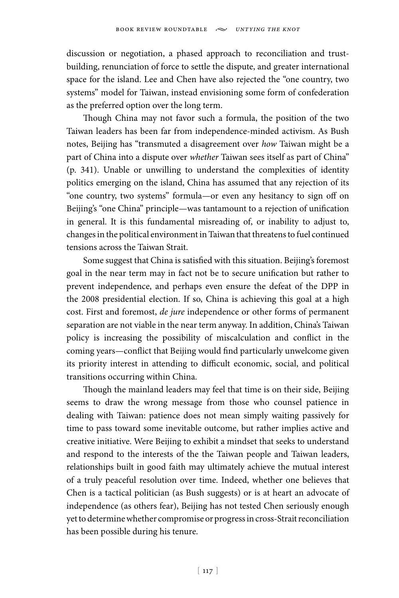discussion or negotiation, a phased approach to reconciliation and trustbuilding, renunciation of force to settle the dispute, and greater international space for the island. Lee and Chen have also rejected the "one country, two systems" model for Taiwan, instead envisioning some form of confederation as the preferred option over the long term.

Though China may not favor such a formula, the position of the two Taiwan leaders has been far from independence-minded activism. As Bush notes, Beijing has "transmuted a disagreement over *how* Taiwan might be a part of China into a dispute over *whether* Taiwan sees itself as part of China" (p. 341). Unable or unwilling to understand the complexities of identity politics emerging on the island, China has assumed that any rejection of its "one country, two systems" formula—or even any hesitancy to sign off on Beijing's "one China" principle—was tantamount to a rejection of unification in general. It is this fundamental misreading of, or inability to adjust to, changes in the political environment in Taiwan that threatens to fuel continued tensions across the Taiwan Strait.

Some suggest that China is satisfied with this situation. Beijing's foremost goal in the near term may in fact not be to secure unification but rather to prevent independence, and perhaps even ensure the defeat of the DPP in the 2008 presidential election. If so, China is achieving this goal at a high cost. First and foremost, *de jure* independence or other forms of permanent separation are not viable in the near term anyway. In addition, China's Taiwan policy is increasing the possibility of miscalculation and conflict in the coming years—conflict that Beijing would find particularly unwelcome given its priority interest in attending to difficult economic, social, and political transitions occurring within China.

Though the mainland leaders may feel that time is on their side, Beijing seems to draw the wrong message from those who counsel patience in dealing with Taiwan: patience does not mean simply waiting passively for time to pass toward some inevitable outcome, but rather implies active and creative initiative. Were Beijing to exhibit a mindset that seeks to understand and respond to the interests of the the Taiwan people and Taiwan leaders, relationships built in good faith may ultimately achieve the mutual interest of a truly peaceful resolution over time. Indeed, whether one believes that Chen is a tactical politician (as Bush suggests) or is at heart an advocate of independence (as others fear), Beijing has not tested Chen seriously enough yet to determine whether compromise or progress in cross-Strait reconciliation has been possible during his tenure.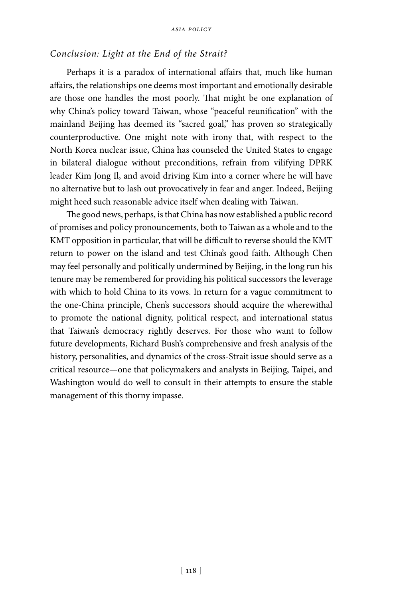### *Conclusion: Light at the End of the Strait?*

Perhaps it is a paradox of international affairs that, much like human affairs, the relationships one deems most important and emotionally desirable are those one handles the most poorly. That might be one explanation of why China's policy toward Taiwan, whose "peaceful reunification" with the mainland Beijing has deemed its "sacred goal," has proven so strategically counterproductive. One might note with irony that, with respect to the North Korea nuclear issue, China has counseled the United States to engage in bilateral dialogue without preconditions, refrain from vilifying DPRK leader Kim Jong Il, and avoid driving Kim into a corner where he will have no alternative but to lash out provocatively in fear and anger. Indeed, Beijing might heed such reasonable advice itself when dealing with Taiwan.

The good news, perhaps, is that China has now established a public record of promises and policy pronouncements, both to Taiwan as a whole and to the KMT opposition in particular, that will be difficult to reverse should the KMT return to power on the island and test China's good faith. Although Chen may feel personally and politically undermined by Beijing, in the long run his tenure may be remembered for providing his political successors the leverage with which to hold China to its vows. In return for a vague commitment to the one-China principle, Chen's successors should acquire the wherewithal to promote the national dignity, political respect, and international status that Taiwan's democracy rightly deserves. For those who want to follow future developments, Richard Bush's comprehensive and fresh analysis of the history, personalities, and dynamics of the cross-Strait issue should serve as a critical resource—one that policymakers and analysts in Beijing, Taipei, and Washington would do well to consult in their attempts to ensure the stable management of this thorny impasse.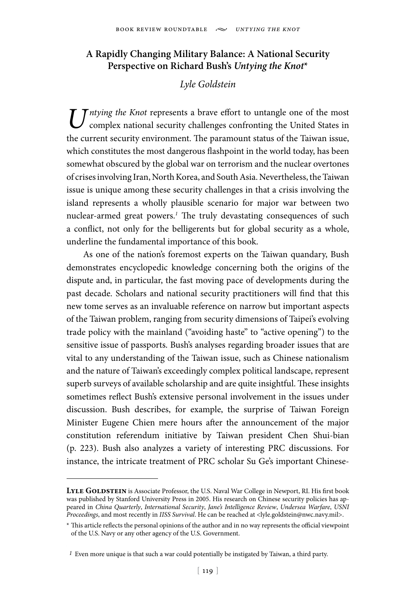# **A Rapidly Changing Military Balance: A National Security Perspective on Richard Bush's** *Untying the Knot***\***

## *Lyle Goldstein*

*Untying the Knot* represents a brave effort to untangle one of the most complex national security challenges confronting the United States in the current security environment. The paramount status of the Taiwan issue, which constitutes the most dangerous flashpoint in the world today, has been somewhat obscured by the global war on terrorism and the nuclear overtones of crises involving Iran, North Korea, and South Asia. Nevertheless, the Taiwan issue is unique among these security challenges in that a crisis involving the island represents a wholly plausible scenario for major war between two nuclear-armed great powers. The truly devastating consequences of such a conflict, not only for the belligerents but for global security as a whole, underline the fundamental importance of this book.

As one of the nation's foremost experts on the Taiwan quandary, Bush demonstrates encyclopedic knowledge concerning both the origins of the dispute and, in particular, the fast moving pace of developments during the past decade. Scholars and national security practitioners will find that this new tome serves as an invaluable reference on narrow but important aspects of the Taiwan problem, ranging from security dimensions of Taipei's evolving trade policy with the mainland ("avoiding haste" to "active opening") to the sensitive issue of passports. Bush's analyses regarding broader issues that are vital to any understanding of the Taiwan issue, such as Chinese nationalism and the nature of Taiwan's exceedingly complex political landscape, represent superb surveys of available scholarship and are quite insightful. These insights sometimes reflect Bush's extensive personal involvement in the issues under discussion. Bush describes, for example, the surprise of Taiwan Foreign Minister Eugene Chien mere hours after the announcement of the major constitution referendum initiative by Taiwan president Chen Shui-bian (p. 223). Bush also analyzes a variety of interesting PRC discussions. For instance, the intricate treatment of PRC scholar Su Ge's important Chinese-

**LYLE GOLDSTEIN** is Associate Professor, the U.S. Naval War College in Newport, RI. His first book was published by Stanford University Press in 2005. His research on Chinese security policies has appeared in *China Quarterly*, *International Security*, *Jane's Intelligence Review*, *Undersea Warfare*, *USNI Proceedings*, and most recently in *IISS Survival*. He can be reached at <lyle.goldstein@nwc.navy.mil>.

<sup>\*</sup> This article reflects the personal opinions of the author and in no way represents the official viewpoint of the U.S. Navy or any other agency of the U.S. Government.

 $<sup>1</sup>$  Even more unique is that such a war could potentially be instigated by Taiwan, a third party.</sup>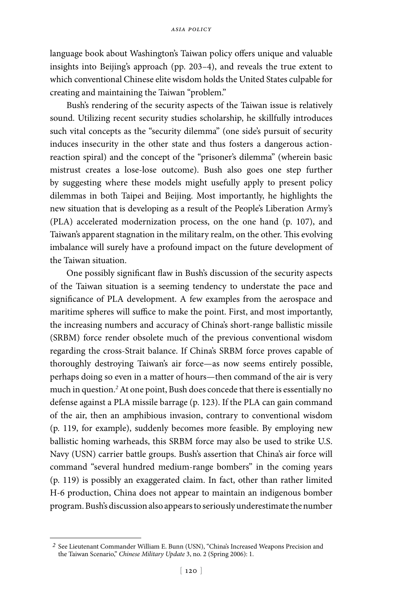language book about Washington's Taiwan policy offers unique and valuable insights into Beijing's approach (pp. 203–4), and reveals the true extent to which conventional Chinese elite wisdom holds the United States culpable for creating and maintaining the Taiwan "problem."

Bush's rendering of the security aspects of the Taiwan issue is relatively sound. Utilizing recent security studies scholarship, he skillfully introduces such vital concepts as the "security dilemma" (one side's pursuit of security induces insecurity in the other state and thus fosters a dangerous actionreaction spiral) and the concept of the "prisoner's dilemma" (wherein basic mistrust creates a lose-lose outcome). Bush also goes one step further by suggesting where these models might usefully apply to present policy dilemmas in both Taipei and Beijing. Most importantly, he highlights the new situation that is developing as a result of the People's Liberation Army's (PLA) accelerated modernization process, on the one hand (p. 107), and Taiwan's apparent stagnation in the military realm, on the other. This evolving imbalance will surely have a profound impact on the future development of the Taiwan situation.

One possibly significant flaw in Bush's discussion of the security aspects of the Taiwan situation is a seeming tendency to understate the pace and significance of PLA development. A few examples from the aerospace and maritime spheres will suffice to make the point. First, and most importantly, the increasing numbers and accuracy of China's short-range ballistic missile (SRBM) force render obsolete much of the previous conventional wisdom regarding the cross-Strait balance. If China's SRBM force proves capable of thoroughly destroying Taiwan's air force—as now seems entirely possible, perhaps doing so even in a matter of hours—then command of the air is very much in question.<sup>2</sup> At one point, Bush does concede that there is essentially no defense against a PLA missile barrage (p. 123). If the PLA can gain command of the air, then an amphibious invasion, contrary to conventional wisdom (p. 119, for example), suddenly becomes more feasible. By employing new ballistic homing warheads, this SRBM force may also be used to strike U.S. Navy (USN) carrier battle groups. Bush's assertion that China's air force will command "several hundred medium-range bombers" in the coming years (p. 119) is possibly an exaggerated claim. In fact, other than rather limited H-6 production, China does not appear to maintain an indigenous bomber program. Bush's discussion also appears to seriously underestimate the number

<sup>&</sup>lt;sup>2</sup> See Lieutenant Commander William E. Bunn (USN), "China's Increased Weapons Precision and the Taiwan Scenario," *Chinese Military Update* 3, no. 2 (Spring 2006): 1.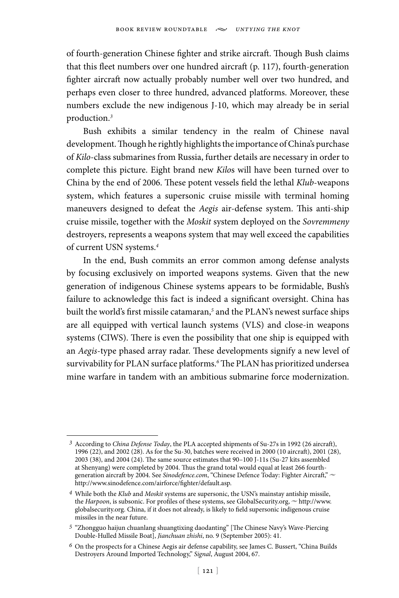of fourth-generation Chinese fighter and strike aircraft. Though Bush claims that this fleet numbers over one hundred aircraft (p. 117), fourth-generation fighter aircraft now actually probably number well over two hundred, and perhaps even closer to three hundred, advanced platforms. Moreover, these numbers exclude the new indigenous J-10, which may already be in serial production.

Bush exhibits a similar tendency in the realm of Chinese naval development. Though he rightly highlights the importance of China's purchase of *Kilo*-class submarines from Russia, further details are necessary in order to complete this picture. Eight brand new *Kilo*s will have been turned over to China by the end of 2006. These potent vessels field the lethal *Klub*-weapons system, which features a supersonic cruise missile with terminal homing maneuvers designed to defeat the *Aegis* air-defense system. This anti-ship cruise missile, together with the *Moskit* system deployed on the *Sovremmeny* destroyers, represents a weapons system that may well exceed the capabilities of current USN systems.

In the end, Bush commits an error common among defense analysts by focusing exclusively on imported weapons systems. Given that the new generation of indigenous Chinese systems appears to be formidable, Bush's failure to acknowledge this fact is indeed a significant oversight. China has built the world's first missile catamaran, $^5$  and the PLAN's newest surface ships are all equipped with vertical launch systems (VLS) and close-in weapons systems (CIWS). There is even the possibility that one ship is equipped with an *Aegis*-type phased array radar. These developments signify a new level of survivability for PLAN surface platforms. The PLAN has prioritized undersea mine warfare in tandem with an ambitious submarine force modernization.

According to *China Defense Today*, the PLA accepted shipments of Su-27s in 1992 (26 aircraft), 1996 (22), and 2002 (28). As for the Su-30, batches were received in 2000 (10 aircraft), 2001 (28), 2003 (38), and 2004 (24). The same source estimates that 90–100 J-11s (Su-27 kits assembled at Shenyang) were completed by 2004. Thus the grand total would equal at least 266 fourthgeneration aircraft by 2004. See Sinodefence.com, "Chinese Defence Today: Fighter Aircraft,"  $\sim$ http://www.sinodefence.com/airforce/fighter/default.asp.

While both the *Klub* and *Moskit* systems are supersonic, the USN's mainstay antiship missile, the *Harpoon*, is subsonic. For profiles of these systems, see GlobalSecurity.org,  $\sim$  http://www. globalsecurity.org. China, if it does not already, is likely to field supersonic indigenous cruise missiles in the near future.

<sup>&</sup>lt;sup>5</sup> "Zhongguo haijun chuanlang shuangtixing daodanting" [The Chinese Navy's Wave-Piercing Double-Hulled Missile Boat], *Jianchuan zhishi*, no. 9 (September 2005): 41.

 $6$  On the prospects for a Chinese Aegis air defense capability, see James C. Bussert, "China Builds Destroyers Around Imported Technology," *Signal*, August 2004, 67.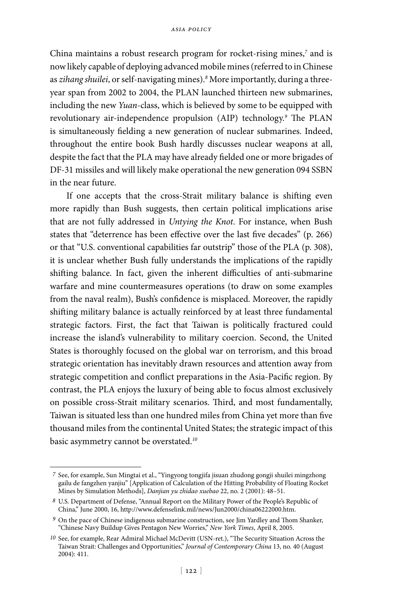China maintains a robust research program for rocket-rising mines,<sup>7</sup> and is now likely capable of deploying advanced mobile mines (referred to in Chinese as *zihang shuilei*, or self-navigating mines). More importantly, during a threeyear span from 2002 to 2004, the PLAN launched thirteen new submarines, including the new *Yuan*-class, which is believed by some to be equipped with revolutionary air-independence propulsion (AIP) technology. The PLAN is simultaneously fielding a new generation of nuclear submarines. Indeed, throughout the entire book Bush hardly discusses nuclear weapons at all, despite the fact that the PLA may have already fielded one or more brigades of DF-31 missiles and will likely make operational the new generation 094 SSBN in the near future.

If one accepts that the cross-Strait military balance is shifting even more rapidly than Bush suggests, then certain political implications arise that are not fully addressed in *Untying the Knot*. For instance, when Bush states that "deterrence has been effective over the last five decades" (p. 266) or that "U.S. conventional capabilities far outstrip" those of the PLA (p. 308), it is unclear whether Bush fully understands the implications of the rapidly shifting balance. In fact, given the inherent difficulties of anti-submarine warfare and mine countermeasures operations (to draw on some examples from the naval realm), Bush's confidence is misplaced. Moreover, the rapidly shifting military balance is actually reinforced by at least three fundamental strategic factors. First, the fact that Taiwan is politically fractured could increase the island's vulnerability to military coercion. Second, the United States is thoroughly focused on the global war on terrorism, and this broad strategic orientation has inevitably drawn resources and attention away from strategic competition and conflict preparations in the Asia-Pacific region. By contrast, the PLA enjoys the luxury of being able to focus almost exclusively on possible cross-Strait military scenarios. Third, and most fundamentally, Taiwan is situated less than one hundred miles from China yet more than five thousand miles from the continental United States; the strategic impact of this basic asymmetry cannot be overstated.*<sup>10</sup>*

See, for example, Sun Mingtai et al., "Yingyong tongjifa jisuan zhudong gongji shuilei mingzhong gailu de fangzhen yanjiu" [Application of Calculation of the Hitting Probability of Floating Rocket Mines by Simulation Methods], *Danjian yu zhidao xuebao* 22, no. 2 (2001): 48–51.

U.S. Department of Defense, "Annual Report on the Military Power of the People's Republic of China," June 2000, 16, http://www.defenselink.mil/news/Jun2000/china06222000.htm.

On the pace of Chinese indigenous submarine construction, see Jim Yardley and Thom Shanker, "Chinese Navy Buildup Gives Pentagon New Worries," *New York Times*, April 8, 2005.

 *<sup>10</sup>* See, for example, Rear Admiral Michael McDevitt (USN-ret.), "The Security Situation Across the Taiwan Strait: Challenges and Opportunities," *Journal of Contemporary China* 13, no. 40 (August 2004): 411.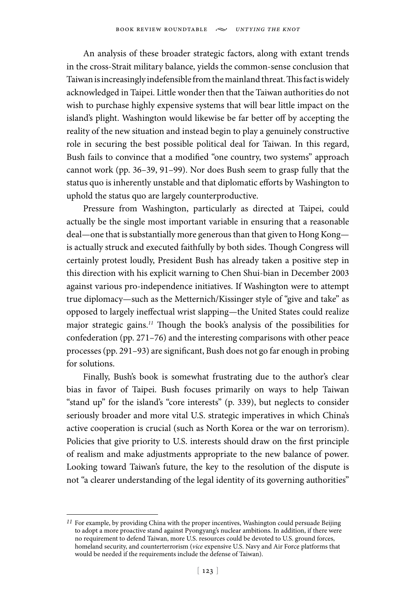An analysis of these broader strategic factors, along with extant trends in the cross-Strait military balance, yields the common-sense conclusion that Taiwan is increasingly indefensible from the mainland threat. This fact is widely acknowledged in Taipei. Little wonder then that the Taiwan authorities do not wish to purchase highly expensive systems that will bear little impact on the island's plight. Washington would likewise be far better off by accepting the reality of the new situation and instead begin to play a genuinely constructive role in securing the best possible political deal for Taiwan. In this regard, Bush fails to convince that a modified "one country, two systems" approach cannot work (pp. 36–39, 91–99). Nor does Bush seem to grasp fully that the status quo is inherently unstable and that diplomatic efforts by Washington to uphold the status quo are largely counterproductive.

Pressure from Washington, particularly as directed at Taipei, could actually be the single most important variable in ensuring that a reasonable deal—one that is substantially more generous than that given to Hong Kong is actually struck and executed faithfully by both sides. Though Congress will certainly protest loudly, President Bush has already taken a positive step in this direction with his explicit warning to Chen Shui-bian in December 2003 against various pro-independence initiatives. If Washington were to attempt true diplomacy—such as the Metternich/Kissinger style of "give and take" as opposed to largely ineffectual wrist slapping—the United States could realize major strategic gains.*<sup>11</sup>* Though the book's analysis of the possibilities for confederation (pp. 271–76) and the interesting comparisons with other peace processes (pp. 291–93) are significant, Bush does not go far enough in probing for solutions.

Finally, Bush's book is somewhat frustrating due to the author's clear bias in favor of Taipei. Bush focuses primarily on ways to help Taiwan "stand up" for the island's "core interests" (p. 339), but neglects to consider seriously broader and more vital U.S. strategic imperatives in which China's active cooperation is crucial (such as North Korea or the war on terrorism). Policies that give priority to U.S. interests should draw on the first principle of realism and make adjustments appropriate to the new balance of power. Looking toward Taiwan's future, the key to the resolution of the dispute is not "a clearer understanding of the legal identity of its governing authorities"

 *<sup>11</sup>* For example, by providing China with the proper incentives, Washington could persuade Beijing to adopt a more proactive stand against Pyongyang's nuclear ambitions. In addition, if there were no requirement to defend Taiwan, more U.S. resources could be devoted to U.S. ground forces, homeland security, and counterterrorism (*vice* expensive U.S. Navy and Air Force platforms that would be needed if the requirements include the defense of Taiwan).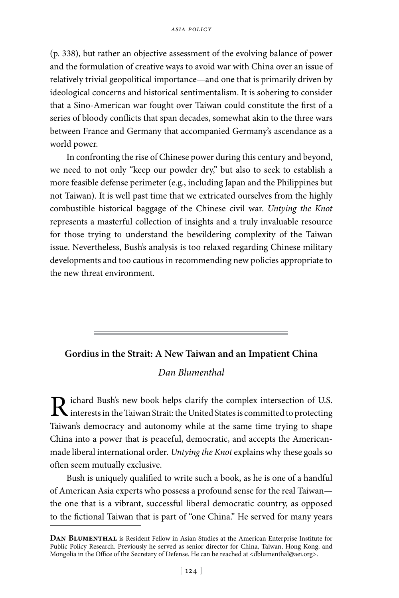(p. 338), but rather an objective assessment of the evolving balance of power and the formulation of creative ways to avoid war with China over an issue of relatively trivial geopolitical importance—and one that is primarily driven by ideological concerns and historical sentimentalism. It is sobering to consider that a Sino-American war fought over Taiwan could constitute the first of a series of bloody conflicts that span decades, somewhat akin to the three wars between France and Germany that accompanied Germany's ascendance as a world power.

In confronting the rise of Chinese power during this century and beyond, we need to not only "keep our powder dry," but also to seek to establish a more feasible defense perimeter (e.g., including Japan and the Philippines but not Taiwan). It is well past time that we extricated ourselves from the highly combustible historical baggage of the Chinese civil war. *Untying the Knot* represents a masterful collection of insights and a truly invaluable resource for those trying to understand the bewildering complexity of the Taiwan issue. Nevertheless, Bush's analysis is too relaxed regarding Chinese military developments and too cautious in recommending new policies appropriate to the new threat environment.

## **Gordius in the Strait: A New Taiwan and an Impatient China**

## *Dan Blumenthal*

R ichard Bush's new book helps clarify the complex intersection of U.S.  $\Box$  interests in the Taiwan Strait: the United States is committed to protecting Taiwan's democracy and autonomy while at the same time trying to shape China into a power that is peaceful, democratic, and accepts the Americanmade liberal international order*. Untying the Knot* explains why these goals so often seem mutually exclusive.

Bush is uniquely qualified to write such a book, as he is one of a handful of American Asia experts who possess a profound sense for the real Taiwan the one that is a vibrant, successful liberal democratic country, as opposed to the fictional Taiwan that is part of "one China." He served for many years

**DAN BLUMENTHAL** is Resident Fellow in Asian Studies at the American Enterprise Institute for Public Policy Research. Previously he served as senior director for China, Taiwan, Hong Kong, and Mongolia in the Office of the Secretary of Defense. He can be reached at <dblumenthal@aei.org>.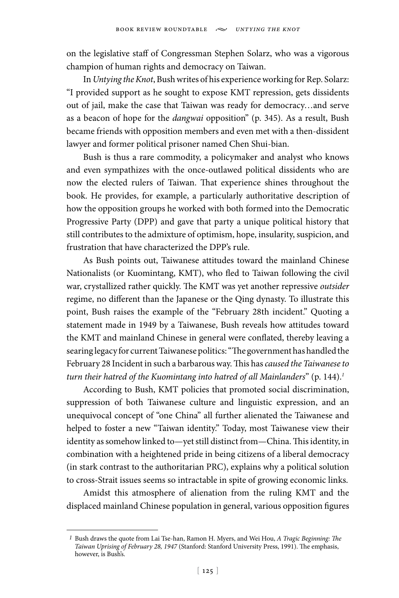on the legislative staff of Congressman Stephen Solarz, who was a vigorous champion of human rights and democracy on Taiwan.

In *Untying the Knot*, Bush writes of his experience working for Rep. Solarz: "I provided support as he sought to expose KMT repression, gets dissidents out of jail, make the case that Taiwan was ready for democracy…and serve as a beacon of hope for the *dangwai* opposition" (p. 345). As a result, Bush became friends with opposition members and even met with a then-dissident lawyer and former political prisoner named Chen Shui-bian.

Bush is thus a rare commodity, a policymaker and analyst who knows and even sympathizes with the once-outlawed political dissidents who are now the elected rulers of Taiwan. That experience shines throughout the book. He provides, for example, a particularly authoritative description of how the opposition groups he worked with both formed into the Democratic Progressive Party (DPP) and gave that party a unique political history that still contributes to the admixture of optimism, hope, insularity, suspicion, and frustration that have characterized the DPP's rule.

As Bush points out, Taiwanese attitudes toward the mainland Chinese Nationalists (or Kuomintang, KMT), who fled to Taiwan following the civil war, crystallized rather quickly. The KMT was yet another repressive *outsider*  regime, no different than the Japanese or the Qing dynasty. To illustrate this point, Bush raises the example of the "February 28th incident." Quoting a statement made in 1949 by a Taiwanese, Bush reveals how attitudes toward the KMT and mainland Chinese in general were conflated, thereby leaving a searing legacy for current Taiwanese politics: "The government has handled the February 28 Incident in such a barbarous way. This has *caused the Taiwanese to turn their hatred of the Kuomintang into hatred of all Mainlanders*" (p. 144).

According to Bush, KMT policies that promoted social discrimination, suppression of both Taiwanese culture and linguistic expression, and an unequivocal concept of "one China" all further alienated the Taiwanese and helped to foster a new "Taiwan identity." Today, most Taiwanese view their identity as somehow linked to—yet still distinct from—China. This identity, in combination with a heightened pride in being citizens of a liberal democracy (in stark contrast to the authoritarian PRC), explains why a political solution to cross-Strait issues seems so intractable in spite of growing economic links.

Amidst this atmosphere of alienation from the ruling KMT and the displaced mainland Chinese population in general, various opposition figures

Bush draws the quote from Lai Tse-han, Ramon H. Myers, and Wei Hou, *A Tragic Beginning: The Taiwan Uprising of February 28, 1947* (Stanford: Stanford University Press, 1991). The emphasis, however, is Bush's.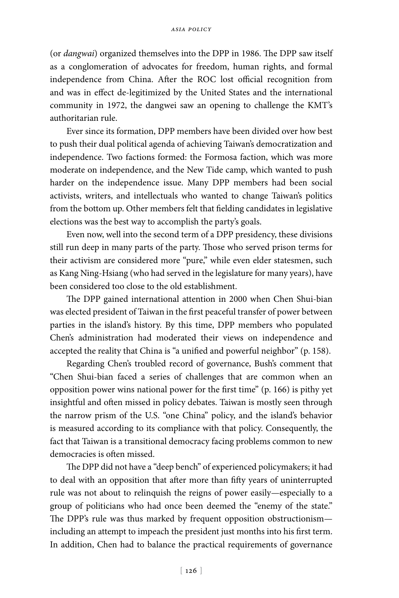(or *dangwai*) organized themselves into the DPP in 1986. The DPP saw itself as a conglomeration of advocates for freedom, human rights, and formal independence from China. After the ROC lost official recognition from and was in effect de-legitimized by the United States and the international community in 1972, the dangwei saw an opening to challenge the KMT's authoritarian rule.

Ever since its formation, DPP members have been divided over how best to push their dual political agenda of achieving Taiwan's democratization and independence. Two factions formed: the Formosa faction, which was more moderate on independence, and the New Tide camp, which wanted to push harder on the independence issue. Many DPP members had been social activists, writers, and intellectuals who wanted to change Taiwan's politics from the bottom up. Other members felt that fielding candidates in legislative elections was the best way to accomplish the party's goals.

Even now, well into the second term of a DPP presidency, these divisions still run deep in many parts of the party. Those who served prison terms for their activism are considered more "pure," while even elder statesmen, such as Kang Ning-Hsiang (who had served in the legislature for many years), have been considered too close to the old establishment.

The DPP gained international attention in 2000 when Chen Shui-bian was elected president of Taiwan in the first peaceful transfer of power between parties in the island's history. By this time, DPP members who populated Chen's administration had moderated their views on independence and accepted the reality that China is "a unified and powerful neighbor" (p. 158).

Regarding Chen's troubled record of governance, Bush's comment that "Chen Shui-bian faced a series of challenges that are common when an opposition power wins national power for the first time" (p. 166) is pithy yet insightful and often missed in policy debates. Taiwan is mostly seen through the narrow prism of the U.S. "one China" policy, and the island's behavior is measured according to its compliance with that policy. Consequently, the fact that Taiwan is a transitional democracy facing problems common to new democracies is often missed.

The DPP did not have a "deep bench" of experienced policymakers; it had to deal with an opposition that after more than fifty years of uninterrupted rule was not about to relinquish the reigns of power easily—especially to a group of politicians who had once been deemed the "enemy of the state." The DPP's rule was thus marked by frequent opposition obstructionism including an attempt to impeach the president just months into his first term. In addition, Chen had to balance the practical requirements of governance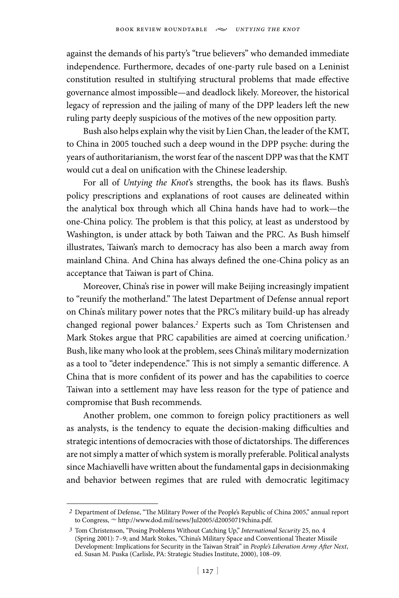against the demands of his party's "true believers" who demanded immediate independence. Furthermore, decades of one-party rule based on a Leninist constitution resulted in stultifying structural problems that made effective governance almost impossible—and deadlock likely. Moreover, the historical legacy of repression and the jailing of many of the DPP leaders left the new ruling party deeply suspicious of the motives of the new opposition party.

Bush also helps explain why the visit by Lien Chan, the leader of the KMT, to China in 2005 touched such a deep wound in the DPP psyche: during the years of authoritarianism, the worst fear of the nascent DPP was that the KMT would cut a deal on unification with the Chinese leadership.

For all of *Untying the Knot*'s strengths, the book has its flaws. Bush's policy prescriptions and explanations of root causes are delineated within the analytical box through which all China hands have had to work—the one-China policy. The problem is that this policy, at least as understood by Washington, is under attack by both Taiwan and the PRC. As Bush himself illustrates, Taiwan's march to democracy has also been a march away from mainland China. And China has always defined the one-China policy as an acceptance that Taiwan is part of China.

Moreover, China's rise in power will make Beijing increasingly impatient to "reunify the motherland." The latest Department of Defense annual report on China's military power notes that the PRC's military build-up has already changed regional power balances.<sup>2</sup> Experts such as Tom Christensen and Mark Stokes argue that PRC capabilities are aimed at coercing unification.<sup>3</sup> Bush, like many who look at the problem, sees China's military modernization as a tool to "deter independence." This is not simply a semantic difference. A China that is more confident of its power and has the capabilities to coerce Taiwan into a settlement may have less reason for the type of patience and compromise that Bush recommends.

Another problem, one common to foreign policy practitioners as well as analysts, is the tendency to equate the decision-making difficulties and strategic intentions of democracies with those of dictatorships. The differences are not simply a matter of which system is morally preferable. Political analysts since Machiavelli have written about the fundamental gaps in decisionmaking and behavior between regimes that are ruled with democratic legitimacy

Department of Defense, "The Military Power of the People's Republic of China 2005," annual report to Congress,  $\sim$  http://www.dod.mil/news/Jul2005/d20050719china.pdf.

Tom Christenson, "Posing Problems Without Catching Up," *International Security* 25, no. 4 (Spring 2001): 7–9; and Mark Stokes, "China's Military Space and Conventional Theater Missile Development: Implications for Security in the Taiwan Strait" in *People's Liberation Army After Next*, ed. Susan M. Puska (Carlisle, PA: Strategic Studies Institute, 2000), 108–09.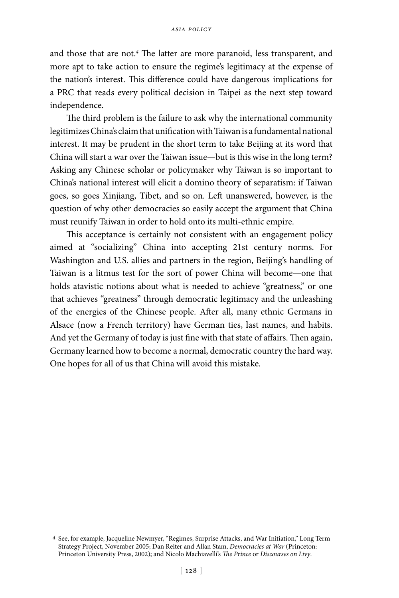and those that are not.<sup>4</sup> The latter are more paranoid, less transparent, and more apt to take action to ensure the regime's legitimacy at the expense of the nation's interest. This difference could have dangerous implications for a PRC that reads every political decision in Taipei as the next step toward independence.

The third problem is the failure to ask why the international community legitimizes China's claim that unification with Taiwan is a fundamental national interest. It may be prudent in the short term to take Beijing at its word that China will start a war over the Taiwan issue—but is this wise in the long term? Asking any Chinese scholar or policymaker why Taiwan is so important to China's national interest will elicit a domino theory of separatism: if Taiwan goes, so goes Xinjiang, Tibet, and so on. Left unanswered, however, is the question of why other democracies so easily accept the argument that China must reunify Taiwan in order to hold onto its multi-ethnic empire.

This acceptance is certainly not consistent with an engagement policy aimed at "socializing" China into accepting 21st century norms. For Washington and U.S. allies and partners in the region, Beijing's handling of Taiwan is a litmus test for the sort of power China will become—one that holds atavistic notions about what is needed to achieve "greatness," or one that achieves "greatness" through democratic legitimacy and the unleashing of the energies of the Chinese people. After all, many ethnic Germans in Alsace (now a French territory) have German ties, last names, and habits. And yet the Germany of today is just fine with that state of affairs. Then again, Germany learned how to become a normal, democratic country the hard way. One hopes for all of us that China will avoid this mistake.

See, for example, Jacqueline Newmyer, "Regimes, Surprise Attacks, and War Initiation," Long Term Strategy Project, November 2005; Dan Reiter and Allan Stam, *Democracies at War* (Princeton: Princeton University Press, 2002); and Nicolo Machiavelli's *The Prince* or *Discourses on Livy*.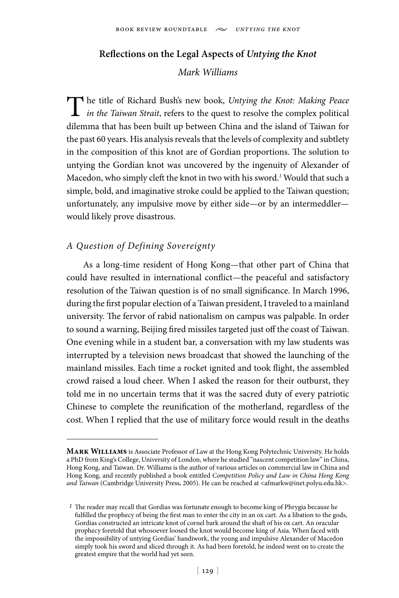#### **Reflections on the Legal Aspects of** *Untying the Knot*

## *Mark Williams*

The title of Richard Bush's new book, *Untying the Knot: Making Peace in the Taiwan Strait*, refers to the quest to resolve the complex political dilemma that has been built up between China and the island of Taiwan for the past 60 years. His analysis reveals that the levels of complexity and subtlety in the composition of this knot are of Gordian proportions. The solution to untying the Gordian knot was uncovered by the ingenuity of Alexander of Macedon, who simply cleft the knot in two with his sword. Would that such a simple, bold, and imaginative stroke could be applied to the Taiwan question; unfortunately, any impulsive move by either side—or by an intermeddler would likely prove disastrous.

## *A Question of Defining Sovereignty*

As a long-time resident of Hong Kong—that other part of China that could have resulted in international conflict—the peaceful and satisfactory resolution of the Taiwan question is of no small significance. In March 1996, during the first popular election of a Taiwan president, I traveled to a mainland university. The fervor of rabid nationalism on campus was palpable. In order to sound a warning, Beijing fired missiles targeted just off the coast of Taiwan. One evening while in a student bar, a conversation with my law students was interrupted by a television news broadcast that showed the launching of the mainland missiles. Each time a rocket ignited and took flight, the assembled crowd raised a loud cheer. When I asked the reason for their outburst, they told me in no uncertain terms that it was the sacred duty of every patriotic Chinese to complete the reunification of the motherland, regardless of the cost. When I replied that the use of military force would result in the deaths

**Mark Williams** is Associate Professor of Law at the Hong Kong Polytechnic University. He holds a PhD from King's College, University of London, where he studied "nascent competition law" in China, Hong Kong, and Taiwan. Dr. Williams is the author of various articles on commercial law in China and Hong Kong, and recently published a book entitled *Competition Policy and Law in China Hong Kong and Taiwan* (Cambridge University Press, 2005). He can be reached at <afmarkw@inet.polyu.edu.hk>.

 $<sup>I</sup>$  The reader may recall that Gordias was fortunate enough to become king of Phrygia because he</sup> fulfilled the prophecy of being the first man to enter the city in an ox cart. As a libation to the gods, Gordias constructed an intricate knot of cornel bark around the shaft of his ox cart. An oracular prophecy foretold that whosoever loosed the knot would become king of Asia. When faced with the impossibility of untying Gordias' handiwork, the young and impulsive Alexander of Macedon simply took his sword and sliced through it. As had been foretold, he indeed went on to create the greatest empire that the world had yet seen.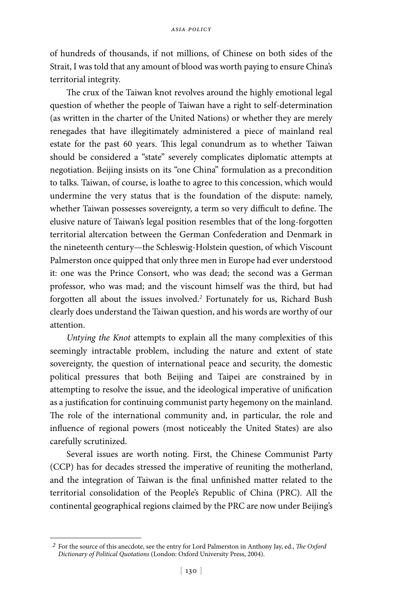of hundreds of thousands, if not millions, of Chinese on both sides of the Strait, I was told that any amount of blood was worth paying to ensure China's territorial integrity.

The crux of the Taiwan knot revolves around the highly emotional legal question of whether the people of Taiwan have a right to self-determination (as written in the charter of the United Nations) or whether they are merely renegades that have illegitimately administered a piece of mainland real estate for the past 60 years. This legal conundrum as to whether Taiwan should be considered a "state" severely complicates diplomatic attempts at negotiation. Beijing insists on its "one China" formulation as a precondition to talks. Taiwan, of course, is loathe to agree to this concession, which would undermine the very status that is the foundation of the dispute: namely, whether Taiwan possesses sovereignty, a term so very difficult to define. The elusive nature of Taiwan's legal position resembles that of the long-forgotten territorial altercation between the German Confederation and Denmark in the nineteenth century—the Schleswig-Holstein question, of which Viscount Palmerston once quipped that only three men in Europe had ever understood it: one was the Prince Consort, who was dead; the second was a German professor, who was mad; and the viscount himself was the third, but had forgotten all about the issues involved.<sup>2</sup> Fortunately for us, Richard Bush clearly does understand the Taiwan question, and his words are worthy of our attention.

*Untying the Knot* attempts to explain all the many complexities of this seemingly intractable problem, including the nature and extent of state sovereignty, the question of international peace and security, the domestic political pressures that both Beijing and Taipei are constrained by in attempting to resolve the issue, and the ideological imperative of unification as a justification for continuing communist party hegemony on the mainland. The role of the international community and, in particular, the role and influence of regional powers (most noticeably the United States) are also carefully scrutinized.

Several issues are worth noting. First, the Chinese Communist Party (CCP) has for decades stressed the imperative of reuniting the motherland, and the integration of Taiwan is the final unfinished matter related to the territorial consolidation of the People's Republic of China (PRC). All the continental geographical regions claimed by the PRC are now under Beijing's

For the source of this anecdote, see the entry for Lord Palmerston in Anthony Jay, ed., *The Oxford Dictionary of Political Quotations* (London: Oxford University Press, 2004).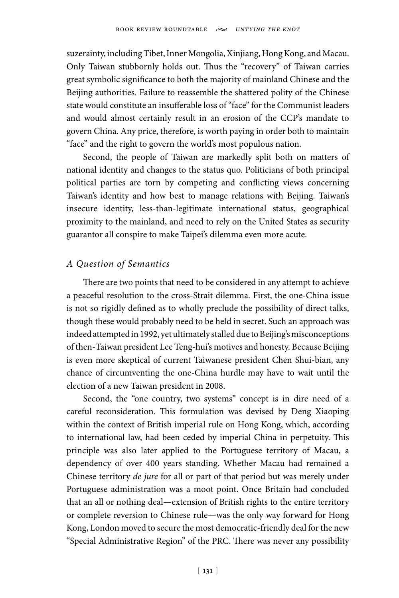suzerainty, including Tibet, Inner Mongolia, Xinjiang, Hong Kong, and Macau. Only Taiwan stubbornly holds out. Thus the "recovery" of Taiwan carries great symbolic significance to both the majority of mainland Chinese and the Beijing authorities. Failure to reassemble the shattered polity of the Chinese state would constitute an insufferable loss of "face" for the Communist leaders and would almost certainly result in an erosion of the CCP's mandate to govern China. Any price, therefore, is worth paying in order both to maintain "face" and the right to govern the world's most populous nation.

Second, the people of Taiwan are markedly split both on matters of national identity and changes to the status quo. Politicians of both principal political parties are torn by competing and conflicting views concerning Taiwan's identity and how best to manage relations with Beijing. Taiwan's insecure identity, less-than-legitimate international status, geographical proximity to the mainland, and need to rely on the United States as security guarantor all conspire to make Taipei's dilemma even more acute.

#### *A Question of Semantics*

There are two points that need to be considered in any attempt to achieve a peaceful resolution to the cross-Strait dilemma. First, the one-China issue is not so rigidly defined as to wholly preclude the possibility of direct talks, though these would probably need to be held in secret. Such an approach was indeed attempted in 1992, yet ultimately stalled due to Beijing's misconceptions of then-Taiwan president Lee Teng-hui's motives and honesty. Because Beijing is even more skeptical of current Taiwanese president Chen Shui-bian, any chance of circumventing the one-China hurdle may have to wait until the election of a new Taiwan president in 2008.

Second, the "one country, two systems" concept is in dire need of a careful reconsideration. This formulation was devised by Deng Xiaoping within the context of British imperial rule on Hong Kong, which, according to international law, had been ceded by imperial China in perpetuity. This principle was also later applied to the Portuguese territory of Macau, a dependency of over 400 years standing. Whether Macau had remained a Chinese territory *de jure* for all or part of that period but was merely under Portuguese administration was a moot point. Once Britain had concluded that an all or nothing deal—extension of British rights to the entire territory or complete reversion to Chinese rule—was the only way forward for Hong Kong, London moved to secure the most democratic-friendly deal for the new "Special Administrative Region" of the PRC. There was never any possibility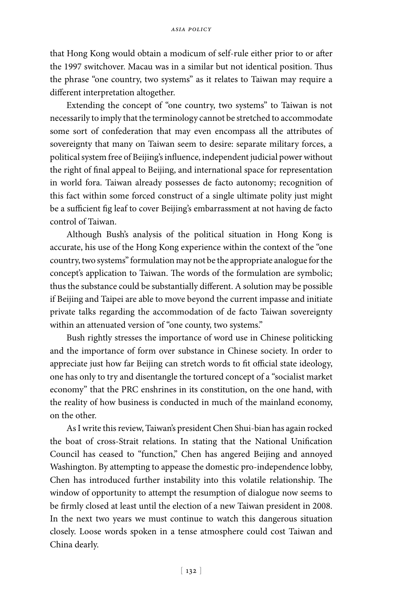that Hong Kong would obtain a modicum of self-rule either prior to or after the 1997 switchover. Macau was in a similar but not identical position. Thus the phrase "one country, two systems" as it relates to Taiwan may require a different interpretation altogether.

Extending the concept of "one country, two systems" to Taiwan is not necessarily to imply that the terminology cannot be stretched to accommodate some sort of confederation that may even encompass all the attributes of sovereignty that many on Taiwan seem to desire: separate military forces, a political system free of Beijing's influence, independent judicial power without the right of final appeal to Beijing, and international space for representation in world fora. Taiwan already possesses de facto autonomy; recognition of this fact within some forced construct of a single ultimate polity just might be a sufficient fig leaf to cover Beijing's embarrassment at not having de facto control of Taiwan.

Although Bush's analysis of the political situation in Hong Kong is accurate, his use of the Hong Kong experience within the context of the "one country, two systems" formulation may not be the appropriate analogue for the concept's application to Taiwan. The words of the formulation are symbolic; thus the substance could be substantially different. A solution may be possible if Beijing and Taipei are able to move beyond the current impasse and initiate private talks regarding the accommodation of de facto Taiwan sovereignty within an attenuated version of "one county, two systems."

Bush rightly stresses the importance of word use in Chinese politicking and the importance of form over substance in Chinese society. In order to appreciate just how far Beijing can stretch words to fit official state ideology, one has only to try and disentangle the tortured concept of a "socialist market economy" that the PRC enshrines in its constitution, on the one hand, with the reality of how business is conducted in much of the mainland economy, on the other.

As I write this review, Taiwan's president Chen Shui-bian has again rocked the boat of cross-Strait relations. In stating that the National Unification Council has ceased to "function," Chen has angered Beijing and annoyed Washington. By attempting to appease the domestic pro-independence lobby, Chen has introduced further instability into this volatile relationship. The window of opportunity to attempt the resumption of dialogue now seems to be firmly closed at least until the election of a new Taiwan president in 2008. In the next two years we must continue to watch this dangerous situation closely. Loose words spoken in a tense atmosphere could cost Taiwan and China dearly.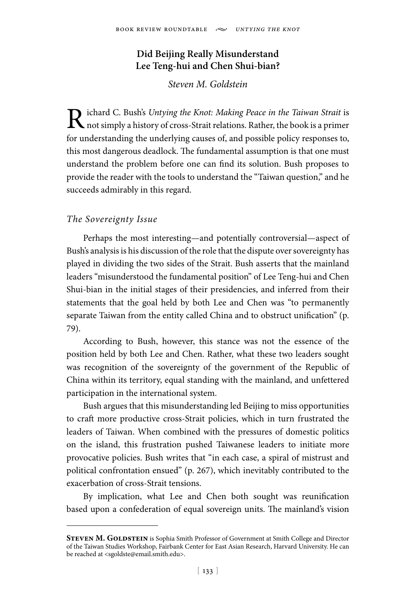# **Did Beijing Really Misunderstand Lee Teng-hui and Chen Shui-bian?**

*Steven M. Goldstein*

Richard C. Bush's *Untying the Knot: Making Peace in the Taiwan Strait* is<br>not simply a history of cross-Strait relations. Rather, the book is a primer for understanding the underlying causes of, and possible policy responses to, this most dangerous deadlock. The fundamental assumption is that one must understand the problem before one can find its solution. Bush proposes to provide the reader with the tools to understand the "Taiwan question," and he succeeds admirably in this regard.

## *The Sovereignty Issue*

Perhaps the most interesting—and potentially controversial—aspect of Bush's analysis is his discussion of the role that the dispute over sovereignty has played in dividing the two sides of the Strait. Bush asserts that the mainland leaders "misunderstood the fundamental position" of Lee Teng-hui and Chen Shui-bian in the initial stages of their presidencies, and inferred from their statements that the goal held by both Lee and Chen was "to permanently separate Taiwan from the entity called China and to obstruct unification" (p. 79).

According to Bush, however, this stance was not the essence of the position held by both Lee and Chen. Rather, what these two leaders sought was recognition of the sovereignty of the government of the Republic of China within its territory, equal standing with the mainland, and unfettered participation in the international system.

Bush argues that this misunderstanding led Beijing to miss opportunities to craft more productive cross-Strait policies, which in turn frustrated the leaders of Taiwan. When combined with the pressures of domestic politics on the island, this frustration pushed Taiwanese leaders to initiate more provocative policies. Bush writes that "in each case, a spiral of mistrust and political confrontation ensued" (p. 267), which inevitably contributed to the exacerbation of cross-Strait tensions.

By implication, what Lee and Chen both sought was reunification based upon a confederation of equal sovereign units. The mainland's vision

**STEVEN M. GOLDSTEIN** is Sophia Smith Professor of Government at Smith College and Director of the Taiwan Studies Workshop, Fairbank Center for East Asian Research, Harvard University. He can be reached at <sgoldste@email.smith.edu>.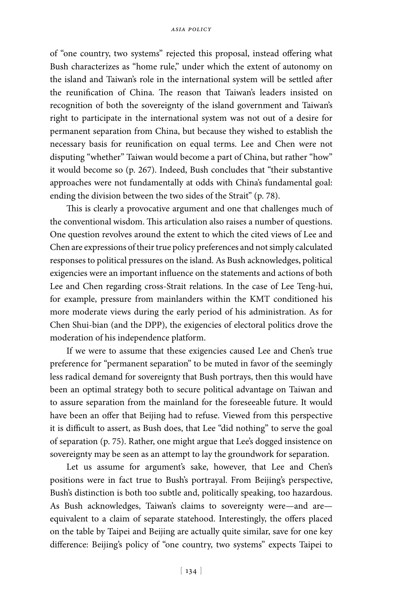of "one country, two systems" rejected this proposal, instead offering what Bush characterizes as "home rule," under which the extent of autonomy on the island and Taiwan's role in the international system will be settled after the reunification of China. The reason that Taiwan's leaders insisted on recognition of both the sovereignty of the island government and Taiwan's right to participate in the international system was not out of a desire for permanent separation from China, but because they wished to establish the necessary basis for reunification on equal terms. Lee and Chen were not disputing "whether" Taiwan would become a part of China, but rather "how" it would become so (p. 267). Indeed, Bush concludes that "their substantive approaches were not fundamentally at odds with China's fundamental goal: ending the division between the two sides of the Strait" (p. 78).

This is clearly a provocative argument and one that challenges much of the conventional wisdom. This articulation also raises a number of questions. One question revolves around the extent to which the cited views of Lee and Chen are expressions of their true policy preferences and not simply calculated responses to political pressures on the island. As Bush acknowledges, political exigencies were an important influence on the statements and actions of both Lee and Chen regarding cross-Strait relations. In the case of Lee Teng-hui, for example, pressure from mainlanders within the KMT conditioned his more moderate views during the early period of his administration. As for Chen Shui-bian (and the DPP), the exigencies of electoral politics drove the moderation of his independence platform.

If we were to assume that these exigencies caused Lee and Chen's true preference for "permanent separation" to be muted in favor of the seemingly less radical demand for sovereignty that Bush portrays, then this would have been an optimal strategy both to secure political advantage on Taiwan and to assure separation from the mainland for the foreseeable future. It would have been an offer that Beijing had to refuse. Viewed from this perspective it is difficult to assert, as Bush does, that Lee "did nothing" to serve the goal of separation (p. 75). Rather, one might argue that Lee's dogged insistence on sovereignty may be seen as an attempt to lay the groundwork for separation.

Let us assume for argument's sake, however, that Lee and Chen's positions were in fact true to Bush's portrayal. From Beijing's perspective, Bush's distinction is both too subtle and, politically speaking, too hazardous. As Bush acknowledges, Taiwan's claims to sovereignty were—and are equivalent to a claim of separate statehood. Interestingly, the offers placed on the table by Taipei and Beijing are actually quite similar, save for one key difference: Beijing's policy of "one country, two systems" expects Taipei to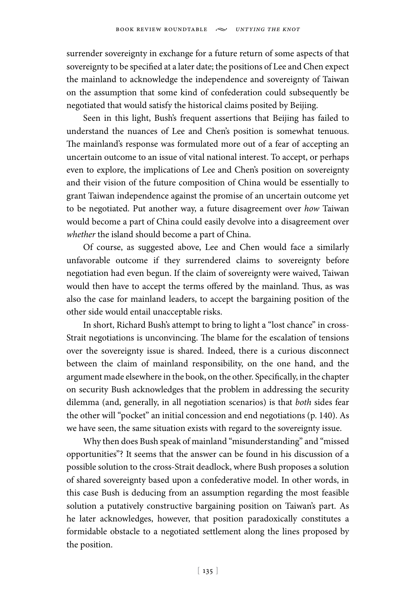surrender sovereignty in exchange for a future return of some aspects of that sovereignty to be specified at a later date; the positions of Lee and Chen expect the mainland to acknowledge the independence and sovereignty of Taiwan on the assumption that some kind of confederation could subsequently be negotiated that would satisfy the historical claims posited by Beijing.

Seen in this light, Bush's frequent assertions that Beijing has failed to understand the nuances of Lee and Chen's position is somewhat tenuous. The mainland's response was formulated more out of a fear of accepting an uncertain outcome to an issue of vital national interest. To accept, or perhaps even to explore, the implications of Lee and Chen's position on sovereignty and their vision of the future composition of China would be essentially to grant Taiwan independence against the promise of an uncertain outcome yet to be negotiated. Put another way, a future disagreement over *how* Taiwan would become a part of China could easily devolve into a disagreement over *whether* the island should become a part of China.

Of course, as suggested above, Lee and Chen would face a similarly unfavorable outcome if they surrendered claims to sovereignty before negotiation had even begun. If the claim of sovereignty were waived, Taiwan would then have to accept the terms offered by the mainland. Thus, as was also the case for mainland leaders, to accept the bargaining position of the other side would entail unacceptable risks.

In short, Richard Bush's attempt to bring to light a "lost chance" in cross-Strait negotiations is unconvincing. The blame for the escalation of tensions over the sovereignty issue is shared. Indeed, there is a curious disconnect between the claim of mainland responsibility, on the one hand, and the argument made elsewhere in the book, on the other. Specifically, in the chapter on security Bush acknowledges that the problem in addressing the security dilemma (and, generally, in all negotiation scenarios) is that *both* sides fear the other will "pocket" an initial concession and end negotiations (p. 140). As we have seen, the same situation exists with regard to the sovereignty issue.

Why then does Bush speak of mainland "misunderstanding" and "missed opportunities"? It seems that the answer can be found in his discussion of a possible solution to the cross-Strait deadlock, where Bush proposes a solution of shared sovereignty based upon a confederative model. In other words, in this case Bush is deducing from an assumption regarding the most feasible solution a putatively constructive bargaining position on Taiwan's part. As he later acknowledges, however, that position paradoxically constitutes a formidable obstacle to a negotiated settlement along the lines proposed by the position.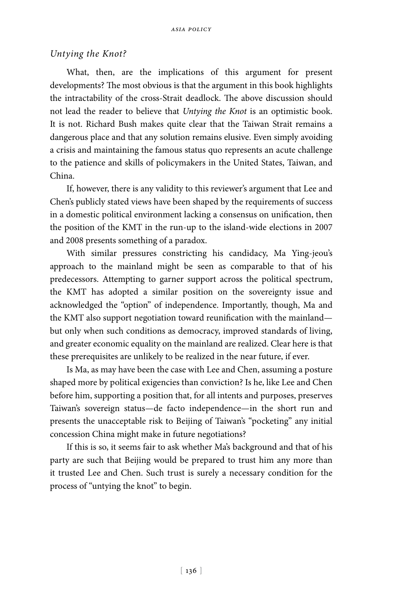### *Untying the Knot?*

What, then, are the implications of this argument for present developments? The most obvious is that the argument in this book highlights the intractability of the cross-Strait deadlock. The above discussion should not lead the reader to believe that *Untying the Knot* is an optimistic book. It is not. Richard Bush makes quite clear that the Taiwan Strait remains a dangerous place and that any solution remains elusive. Even simply avoiding a crisis and maintaining the famous status quo represents an acute challenge to the patience and skills of policymakers in the United States, Taiwan, and China.

If, however, there is any validity to this reviewer's argument that Lee and Chen's publicly stated views have been shaped by the requirements of success in a domestic political environment lacking a consensus on unification, then the position of the KMT in the run-up to the island-wide elections in 2007 and 2008 presents something of a paradox.

With similar pressures constricting his candidacy, Ma Ying-jeou's approach to the mainland might be seen as comparable to that of his predecessors. Attempting to garner support across the political spectrum, the KMT has adopted a similar position on the sovereignty issue and acknowledged the "option" of independence. Importantly, though, Ma and the KMT also support negotiation toward reunification with the mainland but only when such conditions as democracy, improved standards of living, and greater economic equality on the mainland are realized. Clear here is that these prerequisites are unlikely to be realized in the near future, if ever.

Is Ma, as may have been the case with Lee and Chen, assuming a posture shaped more by political exigencies than conviction? Is he, like Lee and Chen before him, supporting a position that, for all intents and purposes, preserves Taiwan's sovereign status—de facto independence—in the short run and presents the unacceptable risk to Beijing of Taiwan's "pocketing" any initial concession China might make in future negotiations?

If this is so, it seems fair to ask whether Ma's background and that of his party are such that Beijing would be prepared to trust him any more than it trusted Lee and Chen. Such trust is surely a necessary condition for the process of "untying the knot" to begin.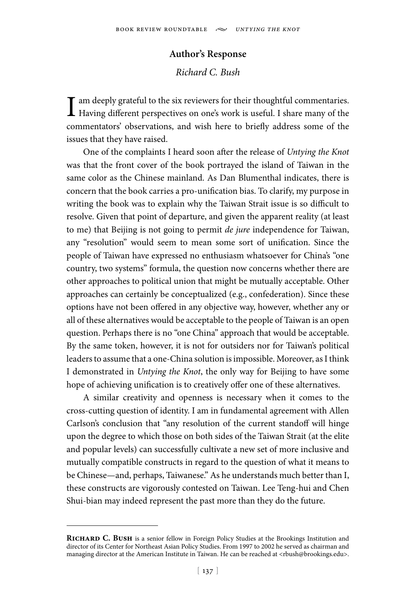#### **Author's Response**

# *Richard C. Bush*

 $\mathbf T$  am deeply grateful to the six reviewers for their thoughtful commentaries.  $\perp$  Having different perspectives on one's work is useful. I share many of the commentators' observations, and wish here to briefly address some of the issues that they have raised.

One of the complaints I heard soon after the release of *Untying the Knot* was that the front cover of the book portrayed the island of Taiwan in the same color as the Chinese mainland. As Dan Blumenthal indicates, there is concern that the book carries a pro-unification bias. To clarify, my purpose in writing the book was to explain why the Taiwan Strait issue is so difficult to resolve. Given that point of departure, and given the apparent reality (at least to me) that Beijing is not going to permit *de jure* independence for Taiwan, any "resolution" would seem to mean some sort of unification. Since the people of Taiwan have expressed no enthusiasm whatsoever for China's "one country, two systems" formula, the question now concerns whether there are other approaches to political union that might be mutually acceptable. Other approaches can certainly be conceptualized (e.g., confederation). Since these options have not been offered in any objective way, however, whether any or all of these alternatives would be acceptable to the people of Taiwan is an open question. Perhaps there is no "one China" approach that would be acceptable. By the same token, however, it is not for outsiders nor for Taiwan's political leaders to assume that a one-China solution is impossible. Moreover, as I think I demonstrated in *Untying the Knot*, the only way for Beijing to have some hope of achieving unification is to creatively offer one of these alternatives.

A similar creativity and openness is necessary when it comes to the cross-cutting question of identity. I am in fundamental agreement with Allen Carlson's conclusion that "any resolution of the current standoff will hinge upon the degree to which those on both sides of the Taiwan Strait (at the elite and popular levels) can successfully cultivate a new set of more inclusive and mutually compatible constructs in regard to the question of what it means to be Chinese—and, perhaps, Taiwanese." As he understands much better than I, these constructs are vigorously contested on Taiwan. Lee Teng-hui and Chen Shui-bian may indeed represent the past more than they do the future.

**Richard C. Bush** is a senior fellow in Foreign Policy Studies at the Brookings Institution and director of its Center for Northeast Asian Policy Studies. From 1997 to 2002 he served as chairman and managing director at the American Institute in Taiwan. He can be reached at <rbush@brookings.edu>.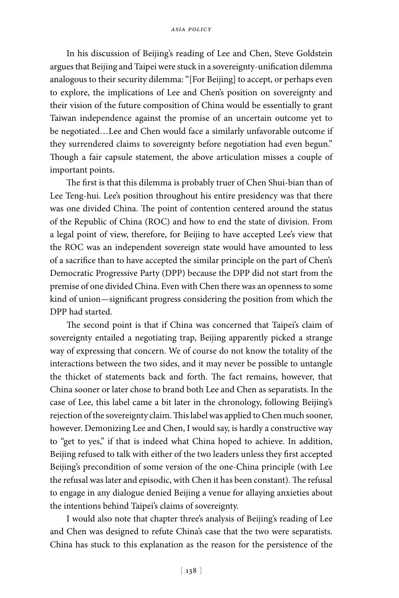In his discussion of Beijing's reading of Lee and Chen, Steve Goldstein argues that Beijing and Taipei were stuck in a sovereignty-unification dilemma analogous to their security dilemma: "[For Beijing] to accept, or perhaps even to explore, the implications of Lee and Chen's position on sovereignty and their vision of the future composition of China would be essentially to grant Taiwan independence against the promise of an uncertain outcome yet to be negotiated…Lee and Chen would face a similarly unfavorable outcome if they surrendered claims to sovereignty before negotiation had even begun." Though a fair capsule statement, the above articulation misses a couple of important points.

The first is that this dilemma is probably truer of Chen Shui-bian than of Lee Teng-hui. Lee's position throughout his entire presidency was that there was one divided China. The point of contention centered around the status of the Republic of China (ROC) and how to end the state of division. From a legal point of view, therefore, for Beijing to have accepted Lee's view that the ROC was an independent sovereign state would have amounted to less of a sacrifice than to have accepted the similar principle on the part of Chen's Democratic Progressive Party (DPP) because the DPP did not start from the premise of one divided China. Even with Chen there was an openness to some kind of union—significant progress considering the position from which the DPP had started.

The second point is that if China was concerned that Taipei's claim of sovereignty entailed a negotiating trap, Beijing apparently picked a strange way of expressing that concern. We of course do not know the totality of the interactions between the two sides, and it may never be possible to untangle the thicket of statements back and forth. The fact remains, however, that China sooner or later chose to brand both Lee and Chen as separatists. In the case of Lee, this label came a bit later in the chronology, following Beijing's rejection of the sovereignty claim. This label was applied to Chen much sooner, however. Demonizing Lee and Chen, I would say, is hardly a constructive way to "get to yes," if that is indeed what China hoped to achieve. In addition, Beijing refused to talk with either of the two leaders unless they first accepted Beijing's precondition of some version of the one-China principle (with Lee the refusal was later and episodic, with Chen it has been constant). The refusal to engage in any dialogue denied Beijing a venue for allaying anxieties about the intentions behind Taipei's claims of sovereignty.

I would also note that chapter three's analysis of Beijing's reading of Lee and Chen was designed to refute China's case that the two were separatists. China has stuck to this explanation as the reason for the persistence of the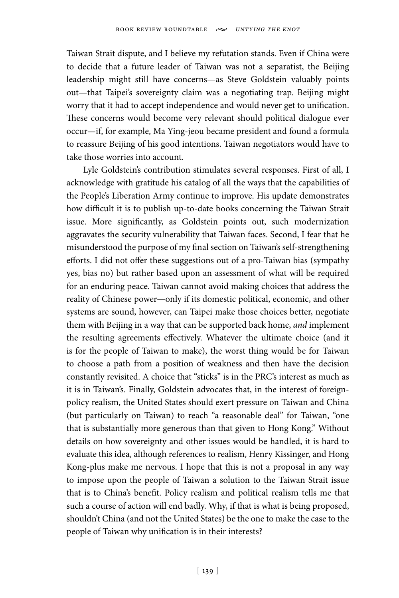Taiwan Strait dispute, and I believe my refutation stands. Even if China were to decide that a future leader of Taiwan was not a separatist, the Beijing leadership might still have concerns—as Steve Goldstein valuably points out—that Taipei's sovereignty claim was a negotiating trap. Beijing might worry that it had to accept independence and would never get to unification. These concerns would become very relevant should political dialogue ever occur—if, for example, Ma Ying-jeou became president and found a formula to reassure Beijing of his good intentions. Taiwan negotiators would have to take those worries into account.

Lyle Goldstein's contribution stimulates several responses. First of all, I acknowledge with gratitude his catalog of all the ways that the capabilities of the People's Liberation Army continue to improve. His update demonstrates how difficult it is to publish up-to-date books concerning the Taiwan Strait issue. More significantly, as Goldstein points out, such modernization aggravates the security vulnerability that Taiwan faces. Second, I fear that he misunderstood the purpose of my final section on Taiwan's self-strengthening efforts. I did not offer these suggestions out of a pro-Taiwan bias (sympathy yes, bias no) but rather based upon an assessment of what will be required for an enduring peace. Taiwan cannot avoid making choices that address the reality of Chinese power—only if its domestic political, economic, and other systems are sound, however, can Taipei make those choices better, negotiate them with Beijing in a way that can be supported back home, *and* implement the resulting agreements effectively. Whatever the ultimate choice (and it is for the people of Taiwan to make), the worst thing would be for Taiwan to choose a path from a position of weakness and then have the decision constantly revisited. A choice that "sticks" is in the PRC's interest as much as it is in Taiwan's. Finally, Goldstein advocates that, in the interest of foreignpolicy realism, the United States should exert pressure on Taiwan and China (but particularly on Taiwan) to reach "a reasonable deal" for Taiwan, "one that is substantially more generous than that given to Hong Kong." Without details on how sovereignty and other issues would be handled, it is hard to evaluate this idea, although references to realism, Henry Kissinger, and Hong Kong-plus make me nervous. I hope that this is not a proposal in any way to impose upon the people of Taiwan a solution to the Taiwan Strait issue that is to China's benefit. Policy realism and political realism tells me that such a course of action will end badly. Why, if that is what is being proposed, shouldn't China (and not the United States) be the one to make the case to the people of Taiwan why unification is in their interests?